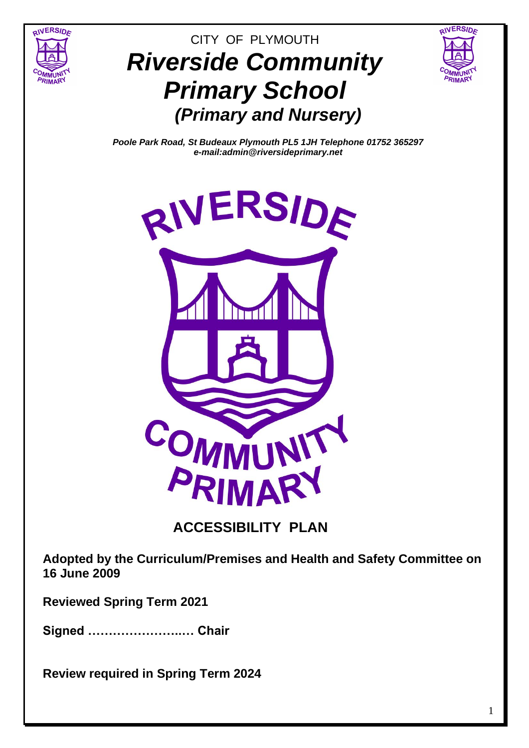

# CITY OF PLYMOUTH *Riverside Community Primary School (Primary and Nursery)*



*Poole Park Road, St Budeaux Plymouth PL5 1JH Telephone 01752 365297 e-mail:admin@riversideprimary.net*



## **ACCESSIBILITY PLAN**

**Adopted by the Curriculum/Premises and Health and Safety Committee on 16 June 2009**

**Reviewed Spring Term 2021**

**Signed …………………..… Chair**

**Review required in Spring Term 2024**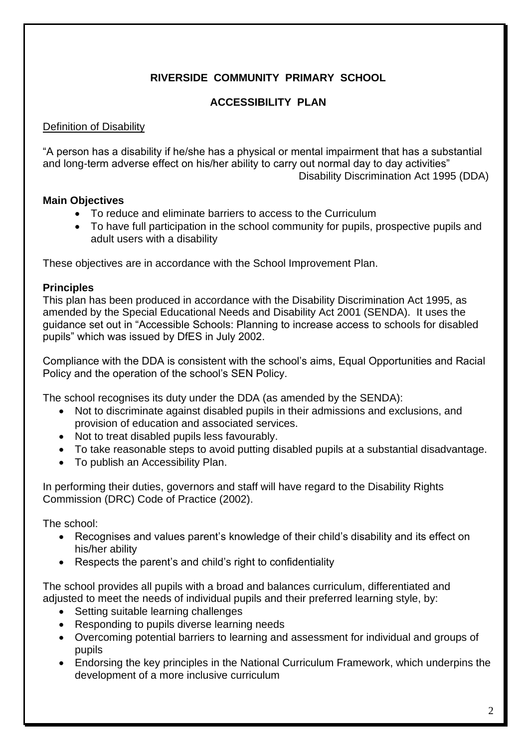### **RIVERSIDE COMMUNITY PRIMARY SCHOOL**

#### **ACCESSIBILITY PLAN**

#### Definition of Disability

"A person has a disability if he/she has a physical or mental impairment that has a substantial and long-term adverse effect on his/her ability to carry out normal day to day activities" Disability Discrimination Act 1995 (DDA)

#### **Main Objectives**

- To reduce and eliminate barriers to access to the Curriculum
- To have full participation in the school community for pupils, prospective pupils and adult users with a disability

These objectives are in accordance with the School Improvement Plan.

#### **Principles**

This plan has been produced in accordance with the Disability Discrimination Act 1995, as amended by the Special Educational Needs and Disability Act 2001 (SENDA). It uses the guidance set out in "Accessible Schools: Planning to increase access to schools for disabled pupils" which was issued by DfES in July 2002.

Compliance with the DDA is consistent with the school's aims, Equal Opportunities and Racial Policy and the operation of the school's SEN Policy.

The school recognises its duty under the DDA (as amended by the SENDA):

- Not to discriminate against disabled pupils in their admissions and exclusions, and provision of education and associated services.
- Not to treat disabled pupils less favourably.
- To take reasonable steps to avoid putting disabled pupils at a substantial disadvantage.
- To publish an Accessibility Plan.

In performing their duties, governors and staff will have regard to the Disability Rights Commission (DRC) Code of Practice (2002).

The school:

- Recognises and values parent's knowledge of their child's disability and its effect on his/her ability
- Respects the parent's and child's right to confidentiality

The school provides all pupils with a broad and balances curriculum, differentiated and adjusted to meet the needs of individual pupils and their preferred learning style, by:

- Setting suitable learning challenges
- Responding to pupils diverse learning needs
- Overcoming potential barriers to learning and assessment for individual and groups of pupils
- Endorsing the key principles in the National Curriculum Framework, which underpins the development of a more inclusive curriculum